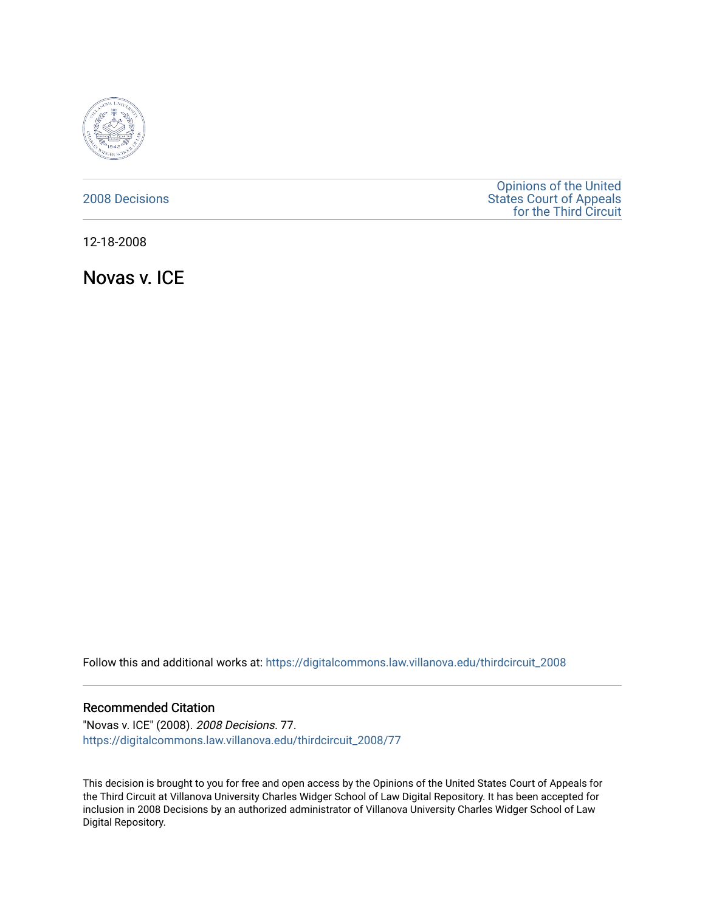

# [2008 Decisions](https://digitalcommons.law.villanova.edu/thirdcircuit_2008)

[Opinions of the United](https://digitalcommons.law.villanova.edu/thirdcircuit)  [States Court of Appeals](https://digitalcommons.law.villanova.edu/thirdcircuit)  [for the Third Circuit](https://digitalcommons.law.villanova.edu/thirdcircuit) 

12-18-2008

Novas v. ICE

Follow this and additional works at: [https://digitalcommons.law.villanova.edu/thirdcircuit\\_2008](https://digitalcommons.law.villanova.edu/thirdcircuit_2008?utm_source=digitalcommons.law.villanova.edu%2Fthirdcircuit_2008%2F77&utm_medium=PDF&utm_campaign=PDFCoverPages) 

## Recommended Citation

"Novas v. ICE" (2008). 2008 Decisions. 77. [https://digitalcommons.law.villanova.edu/thirdcircuit\\_2008/77](https://digitalcommons.law.villanova.edu/thirdcircuit_2008/77?utm_source=digitalcommons.law.villanova.edu%2Fthirdcircuit_2008%2F77&utm_medium=PDF&utm_campaign=PDFCoverPages)

This decision is brought to you for free and open access by the Opinions of the United States Court of Appeals for the Third Circuit at Villanova University Charles Widger School of Law Digital Repository. It has been accepted for inclusion in 2008 Decisions by an authorized administrator of Villanova University Charles Widger School of Law Digital Repository.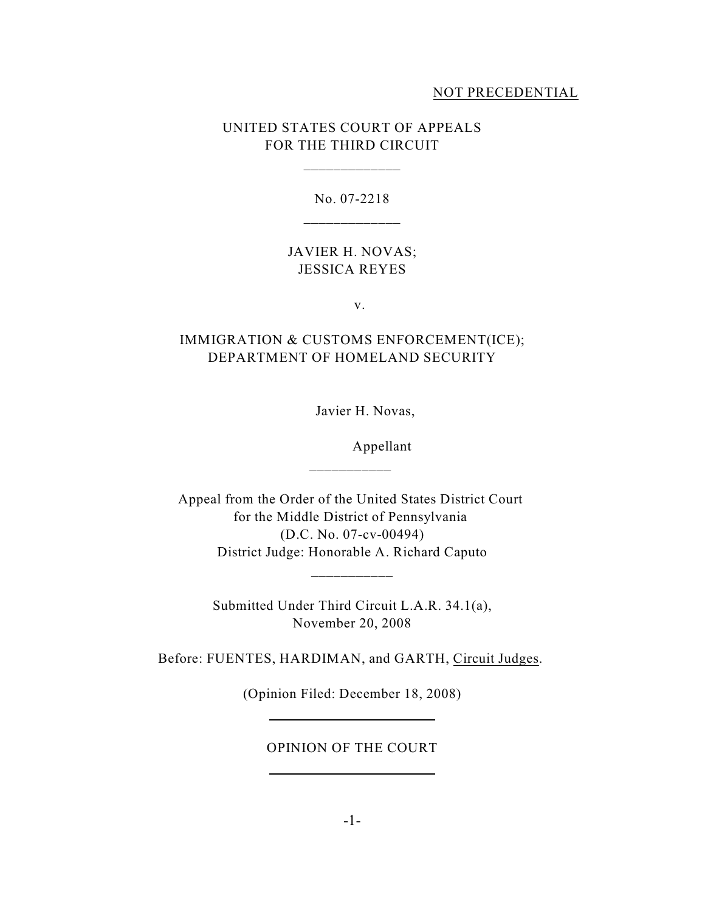## NOT PRECEDENTIAL

# UNITED STATES COURT OF APPEALS FOR THE THIRD CIRCUIT

\_\_\_\_\_\_\_\_\_\_\_\_\_

No. 07-2218 \_\_\_\_\_\_\_\_\_\_\_\_\_

# JAVIER H. NOVAS; JESSICA REYES

v.

# IMMIGRATION & CUSTOMS ENFORCEMENT(ICE); DEPARTMENT OF HOMELAND SECURITY

Javier H. Novas,

Appellant

Appeal from the Order of the United States District Court for the Middle District of Pennsylvania (D.C. No. 07-cv-00494) District Judge: Honorable A. Richard Caputo

\_\_\_\_\_\_\_\_\_\_\_

Submitted Under Third Circuit L.A.R. 34.1(a), November 20, 2008

\_\_\_\_\_\_\_\_\_\_\_

Before: FUENTES, HARDIMAN, and GARTH, Circuit Judges.

(Opinion Filed: December 18, 2008)

OPINION OF THE COURT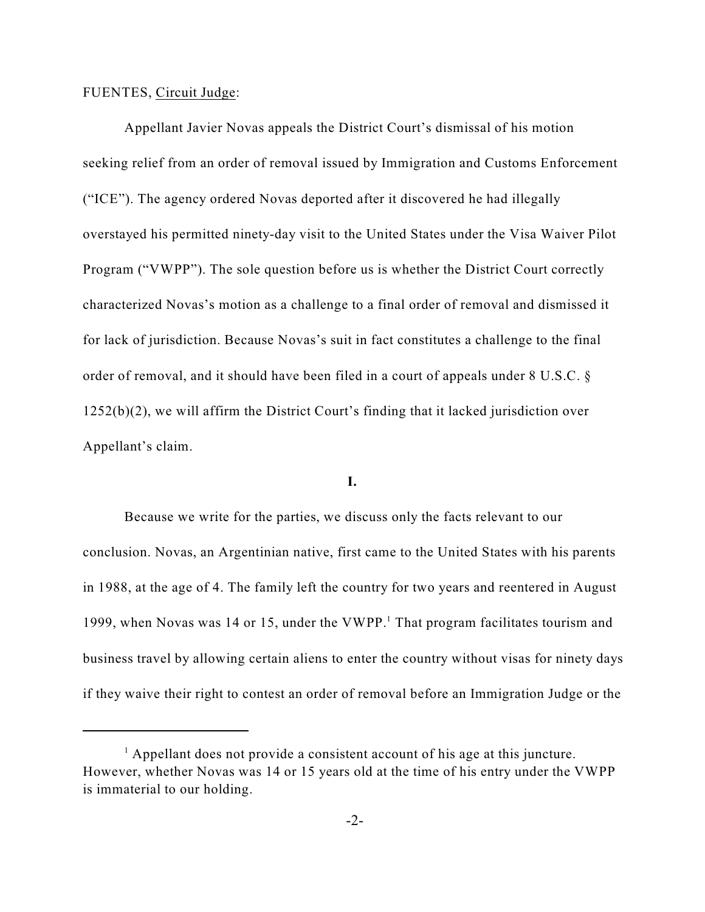## FUENTES, Circuit Judge:

Appellant Javier Novas appeals the District Court's dismissal of his motion seeking relief from an order of removal issued by Immigration and Customs Enforcement ("ICE"). The agency ordered Novas deported after it discovered he had illegally overstayed his permitted ninety-day visit to the United States under the Visa Waiver Pilot Program ("VWPP"). The sole question before us is whether the District Court correctly characterized Novas's motion as a challenge to a final order of removal and dismissed it for lack of jurisdiction. Because Novas's suit in fact constitutes a challenge to the final order of removal, and it should have been filed in a court of appeals under 8 U.S.C. § 1252(b)(2), we will affirm the District Court's finding that it lacked jurisdiction over Appellant's claim.

## **I.**

Because we write for the parties, we discuss only the facts relevant to our conclusion. Novas, an Argentinian native, first came to the United States with his parents in 1988, at the age of 4. The family left the country for two years and reentered in August 1999, when Novas was 14 or 15, under the VWPP.<sup>1</sup> That program facilitates tourism and business travel by allowing certain aliens to enter the country without visas for ninety days if they waive their right to contest an order of removal before an Immigration Judge or the

 $\frac{1}{1}$  Appellant does not provide a consistent account of his age at this juncture. However, whether Novas was 14 or 15 years old at the time of his entry under the VWPP is immaterial to our holding.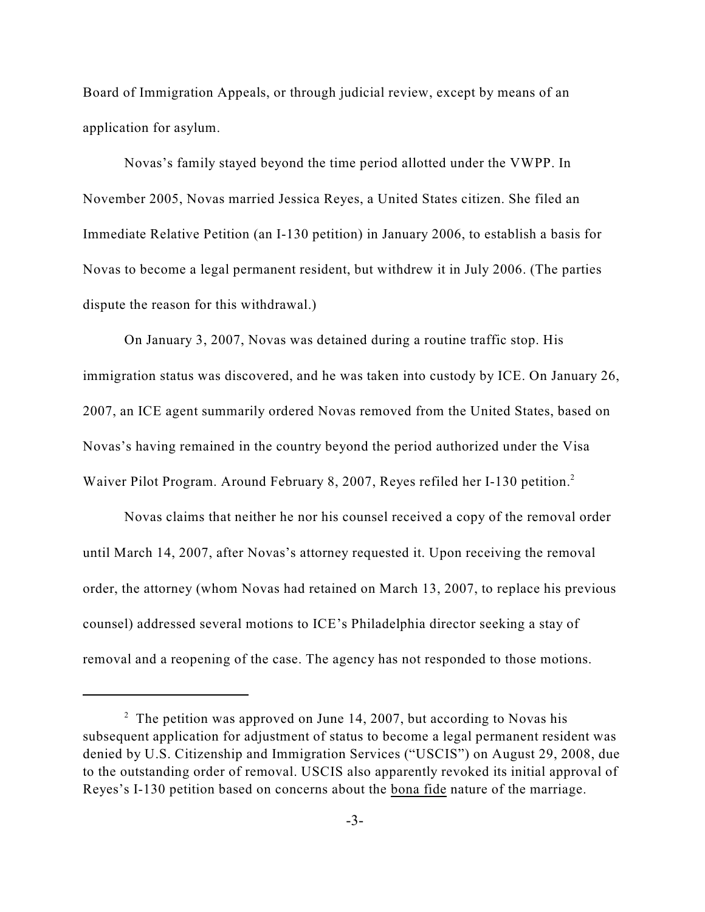Board of Immigration Appeals, or through judicial review, except by means of an application for asylum.

Novas's family stayed beyond the time period allotted under the VWPP. In November 2005, Novas married Jessica Reyes, a United States citizen. She filed an Immediate Relative Petition (an I-130 petition) in January 2006, to establish a basis for Novas to become a legal permanent resident, but withdrew it in July 2006. (The parties dispute the reason for this withdrawal.)

On January 3, 2007, Novas was detained during a routine traffic stop. His immigration status was discovered, and he was taken into custody by ICE. On January 26, 2007, an ICE agent summarily ordered Novas removed from the United States, based on Novas's having remained in the country beyond the period authorized under the Visa Waiver Pilot Program. Around February 8, 2007, Reyes refiled her I-130 petition.<sup>2</sup>

Novas claims that neither he nor his counsel received a copy of the removal order until March 14, 2007, after Novas's attorney requested it. Upon receiving the removal order, the attorney (whom Novas had retained on March 13, 2007, to replace his previous counsel) addressed several motions to ICE's Philadelphia director seeking a stay of removal and a reopening of the case. The agency has not responded to those motions.

 $2\degree$  The petition was approved on June 14, 2007, but according to Novas his subsequent application for adjustment of status to become a legal permanent resident was denied by U.S. Citizenship and Immigration Services ("USCIS") on August 29, 2008, due to the outstanding order of removal. USCIS also apparently revoked its initial approval of Reyes's I-130 petition based on concerns about the bona fide nature of the marriage.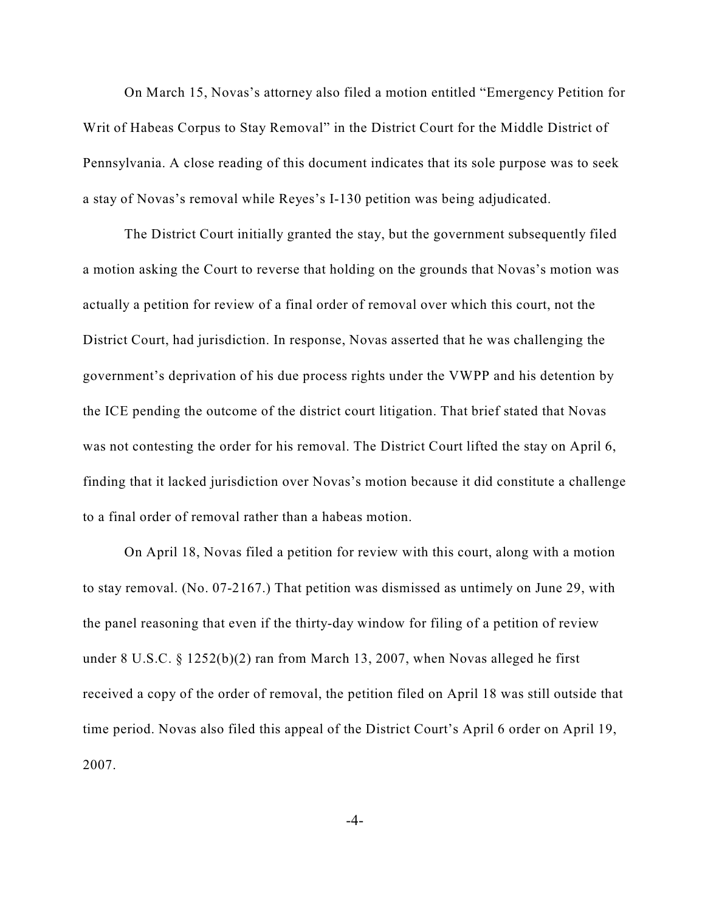On March 15, Novas's attorney also filed a motion entitled "Emergency Petition for Writ of Habeas Corpus to Stay Removal" in the District Court for the Middle District of Pennsylvania. A close reading of this document indicates that its sole purpose was to seek a stay of Novas's removal while Reyes's I-130 petition was being adjudicated.

The District Court initially granted the stay, but the government subsequently filed a motion asking the Court to reverse that holding on the grounds that Novas's motion was actually a petition for review of a final order of removal over which this court, not the District Court, had jurisdiction. In response, Novas asserted that he was challenging the government's deprivation of his due process rights under the VWPP and his detention by the ICE pending the outcome of the district court litigation. That brief stated that Novas was not contesting the order for his removal. The District Court lifted the stay on April 6, finding that it lacked jurisdiction over Novas's motion because it did constitute a challenge to a final order of removal rather than a habeas motion.

On April 18, Novas filed a petition for review with this court, along with a motion to stay removal. (No. 07-2167.) That petition was dismissed as untimely on June 29, with the panel reasoning that even if the thirty-day window for filing of a petition of review under 8 U.S.C. § 1252(b)(2) ran from March 13, 2007, when Novas alleged he first received a copy of the order of removal, the petition filed on April 18 was still outside that time period. Novas also filed this appeal of the District Court's April 6 order on April 19, 2007.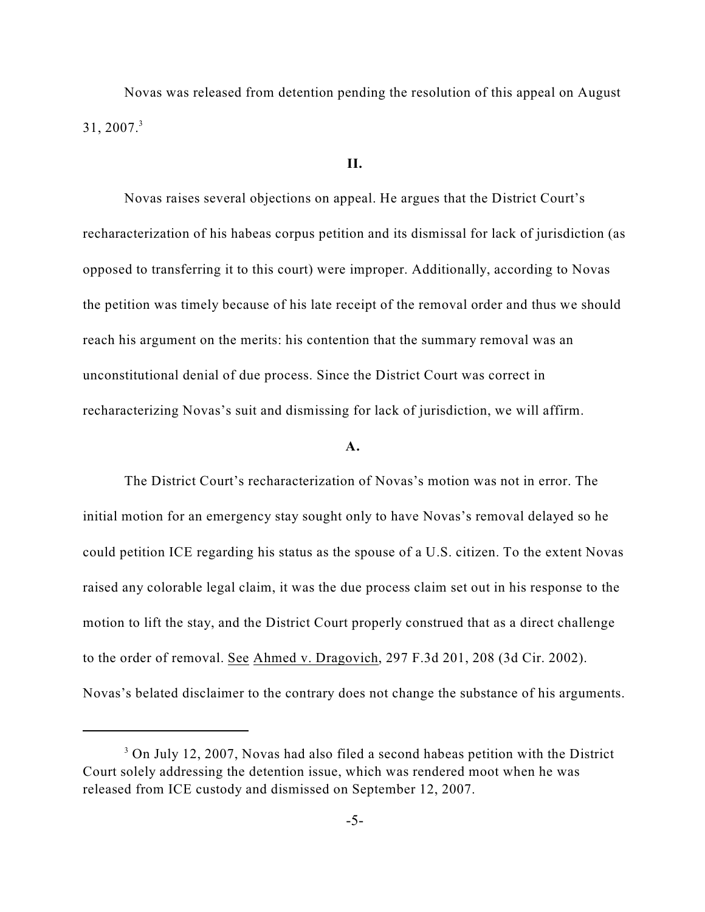Novas was released from detention pending the resolution of this appeal on August  $31, 2007.<sup>3</sup>$ 

#### **II.**

Novas raises several objections on appeal. He argues that the District Court's recharacterization of his habeas corpus petition and its dismissal for lack of jurisdiction (as opposed to transferring it to this court) were improper. Additionally, according to Novas the petition was timely because of his late receipt of the removal order and thus we should reach his argument on the merits: his contention that the summary removal was an unconstitutional denial of due process. Since the District Court was correct in recharacterizing Novas's suit and dismissing for lack of jurisdiction, we will affirm.

#### **A.**

The District Court's recharacterization of Novas's motion was not in error. The initial motion for an emergency stay sought only to have Novas's removal delayed so he could petition ICE regarding his status as the spouse of a U.S. citizen. To the extent Novas raised any colorable legal claim, it was the due process claim set out in his response to the motion to lift the stay, and the District Court properly construed that as a direct challenge to the order of removal. See Ahmed v. Dragovich, 297 F.3d 201, 208 (3d Cir. 2002). Novas's belated disclaimer to the contrary does not change the substance of his arguments.

<sup>&</sup>lt;sup>3</sup> On July 12, 2007, Novas had also filed a second habeas petition with the District Court solely addressing the detention issue, which was rendered moot when he was released from ICE custody and dismissed on September 12, 2007.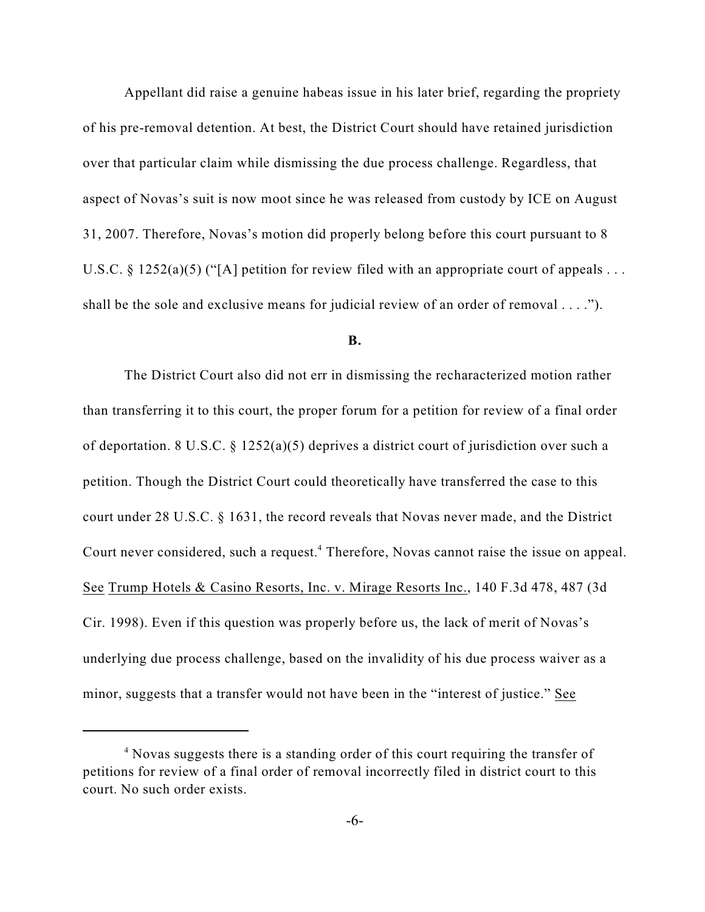Appellant did raise a genuine habeas issue in his later brief, regarding the propriety of his pre-removal detention. At best, the District Court should have retained jurisdiction over that particular claim while dismissing the due process challenge. Regardless, that aspect of Novas's suit is now moot since he was released from custody by ICE on August 31, 2007. Therefore, Novas's motion did properly belong before this court pursuant to 8 U.S.C. § 1252(a)(5) ("[A] petition for review filed with an appropriate court of appeals . . . shall be the sole and exclusive means for judicial review of an order of removal . . . .").

#### **B.**

The District Court also did not err in dismissing the recharacterized motion rather than transferring it to this court, the proper forum for a petition for review of a final order of deportation. 8 U.S.C. § 1252(a)(5) deprives a district court of jurisdiction over such a petition. Though the District Court could theoretically have transferred the case to this court under 28 U.S.C. § 1631, the record reveals that Novas never made, and the District Court never considered, such a request.<sup>4</sup> Therefore, Novas cannot raise the issue on appeal. See Trump Hotels & Casino Resorts, Inc. v. Mirage Resorts Inc., 140 F.3d 478, 487 (3d Cir. 1998). Even if this question was properly before us, the lack of merit of Novas's underlying due process challenge, based on the invalidity of his due process waiver as a minor, suggests that a transfer would not have been in the "interest of justice." See

<sup>&</sup>lt;sup>4</sup> Novas suggests there is a standing order of this court requiring the transfer of petitions for review of a final order of removal incorrectly filed in district court to this court. No such order exists.